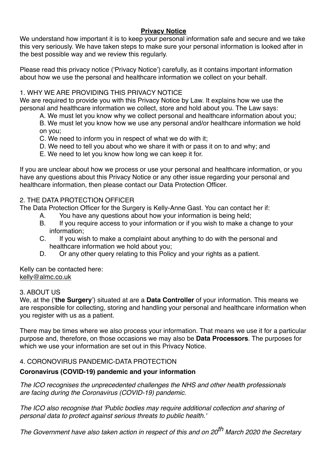# **Privacy Notice**

We understand how important it is to keep your personal information safe and secure and we take this very seriously. We have taken steps to make sure your personal information is looked after in the best possible way and we review this regularly.

Please read this privacy notice ('Privacy Notice') carefully, as it contains important information about how we use the personal and healthcare information we collect on your behalf.

#### 1. WHY WE ARE PROVIDING THIS PRIVACY NOTICE

We are required to provide you with this Privacy Notice by Law. It explains how we use the personal and healthcare information we collect, store and hold about you. The Law says:

A. We must let you know why we collect personal and healthcare information about you;

B. We must let you know how we use any personal and/or healthcare information we hold on you;

C. We need to inform you in respect of what we do with it;

- D. We need to tell you about who we share it with or pass it on to and why; and
- E. We need to let you know how long we can keep it for.

If you are unclear about how we process or use your personal and healthcare information, or you have any questions about this Privacy Notice or any other issue regarding your personal and healthcare information, then please contact our Data Protection Officer.

# 2. THE DATA PROTECTION OFFICER

The Data Protection Officer for the Surgery is Kelly-Anne Gast. You can contact her if:

- A. You have any questions about how your information is being held;
- B. If you require access to your information or if you wish to make a change to your information;
- C. If you wish to make a complaint about anything to do with the personal and healthcare information we hold about you;
- D. Or any other query relating to this Policy and your rights as a patient.

Kelly can be contacted here: [kelly@almc.co.uk](mailto:kelly@almc.co.uk)

#### 3. ABOUT US

We, at the ('**the Surgery**') situated at are a **Data Controller** of your information. This means we are responsible for collecting, storing and handling your personal and healthcare information when you register with us as a patient.

There may be times where we also process your information. That means we use it for a particular purpose and, therefore, on those occasions we may also be **Data Processors**. The purposes for which we use your information are set out in this Privacy Notice.

# 4. CORONOVIRUS PANDEMIC-DATA PROTECTION

# **Coronavirus (COVID-19) pandemic and your information**

*The ICO recognises the unprecedented challenges the NHS and other health professionals are facing during the Coronavirus (COVID-19) pandemic.*

*The ICO also recognise that 'Public bodies may require additional collection and sharing of personal data to protect against serious threats to public health.'*

*The Government have also taken action in respect of this and on 20th March 2020 the Secretary*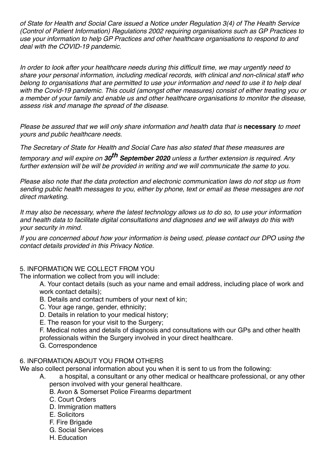*of State for Health and Social Care issued a Notice under Regulation 3(4) of The Health Service (Control of Patient Information) Regulations 2002 requiring organisations such as GP Practices to use your information to help GP Practices and other healthcare organisations to respond to and deal with the COVID-19 pandemic.*

*In order to look after your healthcare needs during this difficult time, we may urgently need to share your personal information, including medical records, with clinical and non-clinical staff who belong to organisations that are permitted to use your information and need to use it to help deal with the Covid-19 pandemic. This could (amongst other measures) consist of either treating you or a member of your family and enable us and other healthcare organisations to monitor the disease, assess risk and manage the spread of the disease.*

*Please be assured that we will only share information and health data that is* **necessary** *to meet yours and public healthcare needs.*

*The Secretary of State for Health and Social Care has also stated that these measures are* 

*temporary and will expire on 30th September 2020 unless a further extension is required. Any further extension will be will be provided in writing and we will communicate the same to you.*

*Please also note that the data protection and electronic communication laws do not stop us from sending public health messages to you, either by phone, text or email as these messages are not direct marketing.*

*It may also be necessary, where the latest technology allows us to do so, to use your information and health data to facilitate digital consultations and diagnoses and we will always do this with your security in mind.*

*If you are concerned about how your information is being used, please contact our DPO using the contact details provided in this Privacy Notice.*

# 5. INFORMATION WE COLLECT FROM YOU

The information we collect from you will include:

A. Your contact details (such as your name and email address, including place of work and work contact details);

- B. Details and contact numbers of your next of kin;
- C. Your age range, gender, ethnicity;
- D. Details in relation to your medical history;
- E. The reason for your visit to the Surgery;

F. Medical notes and details of diagnosis and consultations with our GPs and other health professionals within the Surgery involved in your direct healthcare.

G. Correspondence

# 6. INFORMATION ABOUT YOU FROM OTHERS

We also collect personal information about you when it is sent to us from the following:

- A. a hospital, a consultant or any other medical or healthcare professional, or any other person involved with your general healthcare.
	- B. Avon & Somerset Police Firearms department
	- C. Court Orders
	- D. Immigration matters
	- E. Solicitors
	- F. Fire Brigade
	- G. Social Services
	- H. Education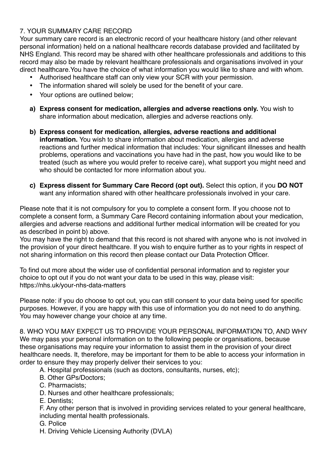# 7. YOUR SUMMARY CARE RECORD

Your summary care record is an electronic record of your healthcare history (and other relevant personal information) held on a national healthcare records database provided and facilitated by NHS England. This record may be shared with other healthcare professionals and additions to this record may also be made by relevant healthcare professionals and organisations involved in your direct healthcare.You have the choice of what information you would like to share and with whom.

- Authorised healthcare staff can only view your SCR with your permission.
- The information shared will solely be used for the benefit of your care.
- Your options are outlined below;
- **a) Express consent for medication, allergies and adverse reactions only.** You wish to share information about medication, allergies and adverse reactions only.
- **b) Express consent for medication, allergies, adverse reactions and additional information.** You wish to share information about medication, allergies and adverse reactions and further medical information that includes: Your significant illnesses and health problems, operations and vaccinations you have had in the past, how you would like to be treated (such as where you would prefer to receive care), what support you might need and who should be contacted for more information about you.
- **c) Express dissent for Summary Care Record (opt out).** Select this option, if you **DO NOT**  want any information shared with other healthcare professionals involved in your care.

Please note that it is not compulsory for you to complete a consent form. If you choose not to complete a consent form, a Summary Care Record containing information about your medication, allergies and adverse reactions and additional further medical information will be created for you as described in point b) above.

You may have the right to demand that this record is not shared with anyone who is not involved in the provision of your direct healthcare. If you wish to enquire further as to your rights in respect of not sharing information on this record then please contact our Data Protection Officer.

To find out more about the wider use of confidential personal information and to register your choice to opt out if you do not want your data to be used in this way, please visit: <https://nhs.uk/your-nhs-data-matters>

Please note: if you do choose to opt out, you can still consent to your data being used for specific purposes. However, if you are happy with this use of information you do not need to do anything. You may however change your choice at any time.

8. WHO YOU MAY EXPECT US TO PROVIDE YOUR PERSONAL INFORMATION TO, AND WHY We may pass your personal information on to the following people or organisations, because these organisations may require your information to assist them in the provision of your direct healthcare needs. It, therefore, may be important for them to be able to access your information in order to ensure they may properly deliver their services to you:

- A. Hospital professionals (such as doctors, consultants, nurses, etc);
- B. Other GPs/Doctors;
- C. Pharmacists;
- D. Nurses and other healthcare professionals;
- E. Dentists;
- F. Any other person that is involved in providing services related to your general healthcare, including mental health professionals.
- G. Police
- H. Driving Vehicle Licensing Authority (DVLA)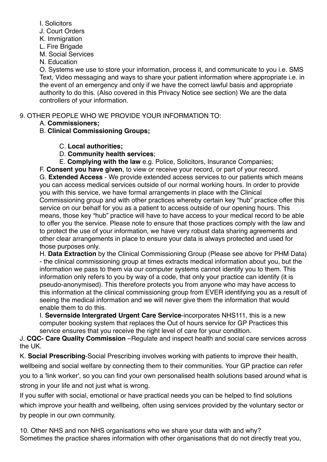I. Solicitors

J. Court Orders

K. Immigration

L. Fire Brigade

M. Social Services

N. Education

O. Systems we use to store your information, process it, and communicate to you i.e. SMS Text, Video messaging and ways to share your patient information where appropriate i.e. in the event of an emergency and only if we have the correct lawful basis and appropriate authority to do this. (Also covered in this Privacy Notice see section) We are the data controllers of your information.

9. OTHER PEOPLE WHO WE PROVIDE YOUR INFORMATION TO:

A. **Commissioners;**

B. **Clinical Commissioning Groups;**

C. **Local authorities;**

D. **Community health services**;

E. **Complying with the law** e.g. Police, Solicitors, Insurance Companies;

F. **Consent you have given**, to view or receive your record, or part of your record.

G. **Extended Access** - We provide extended access services to our patients which means you can access medical services outside of our normal working hours. In order to provide you with this service, we have formal arrangements in place with the Clinical Commissioning group and with other practices whereby certain key "hub" practice offer this service on our behalf for you as a patient to access outside of our opening hours. This means, those key "hub" practice will have to have access to your medical record to be able to offer you the service. Please note to ensure that those practices comply with the law and to protect the use of your information, we have very robust data sharing agreements and other clear arrangements in place to ensure your data is always protected and used for those purposes only.

H. **Data Extraction** by the Clinical Commissioning Group (Please see above for PHM Data) - the clinical commissioning group at times extracts medical information about you, but the information we pass to them via our computer systems cannot identify you to them. This information only refers to you by way of a code, that only your practice can identify (it is pseudo-anonymised). This therefore protects you from anyone who may have access to this information at the clinical commissioning group from EVER identifying you as a result of seeing the medical information and we will never give them the information that would enable them to do this.

I. **Severnside Intergrated Urgent Care Service**-incorporates NHS111, this is a new computer booking system that replaces the Out of hours service for GP Practices this service ensures that you receive the right level of care for your condition.

J. **CQC- Care Quality Commission** –Regulate and inspect health and social care services across the UK.

K. **Social Prescribing**-Social Prescribing involves working with patients to improve their health, wellbeing and social welfare by connecting them to their communities. Your GP practice can refer you to a 'link worker', so you can find your own personalised health solutions based around what is strong in your life and not just what is wrong.

If you suffer with social, emotional or have practical needs you can be helped to find solutions which improve your health and wellbeing, often using services provided by the voluntary sector or by people in our own community.

10. Other NHS and non NHS organisations who we share your data with and why? Sometimes the practice shares information with other organisations that do not directly treat you,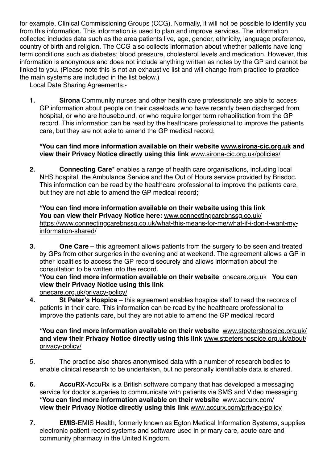for example, Clinical Commissioning Groups (CCG). Normally, it will not be possible to identify you from this information. This information is used to plan and improve services. The information collected includes data such as the area patients live, age, gender, ethnicity, language preference, country of birth and religion. The CCG also collects information about whether patients have long term conditions such as diabetes; blood pressure, cholesterol levels and medication. However, this information is anonymous and does not include anything written as notes by the GP and cannot be linked to you. (Please note this is not an exhaustive list and will change from practice to practice the main systems are included in the list below.)

Local Data Sharing Agreements:-

**1. Sirona** Community nurses and other health care professionals are able to access GP information about people on their caseloads who have recently been discharged from hospital, or who are housebound, or who require longer term rehabilitation from the GP record. This information can be read by the healthcare professional to improve the patients care, but they are not able to amend the GP medical record;

# **\*You can find more information available on their website [www.sirona-cic.org.uk](http://www.sirona-cic.org.uk) and view their Privacy Notice directly using this link** [www.sirona-cic.org.uk/policies/](http://www.sirona-cic.org.uk/policies/)

**2. Connecting Care**\* enables a range of health care organisations, including local NHS hospital, the Ambulance Service and the Out of Hours service provided by Brisdoc. This information can be read by the healthcare professional to improve the patients care, but they are not able to amend the GP medical record;

**\*You can find more information available on their website using this link You can view their Privacy Notice here:** [www.connectingcarebnssg.co.uk/](http://www.connectingcarebnssg.co.uk/)  [https://www.connectingcarebnssg.co.uk/what-this-means-for-me/what-if-i-don-t-want-my](https://www.connectingcarebnssg.co.uk/what-this-means-for-me/what-if-i-don-t-want-my-information-shared/)[information-shared/](https://www.connectingcarebnssg.co.uk/what-this-means-for-me/what-if-i-don-t-want-my-information-shared/)

**3. One Care** – this agreement allows patients from the surgery to be seen and treated by GPs from other surgeries in the evening and at weekend. The agreement allows a GP in other localities to access the GP record securely and allows information about the consultation to be written into the record.

**\*You can find more information available on their website** onecare.org.uk **You can view their Privacy Notice using this link**

[onecare.org.uk/privacy-policy/](https://onecare.org.uk/privacy-policy/)

**4. St Peter's Hospice** – this agreement enables hospice staff to read the records of patients in their care. This information can be read by the healthcare professional to improve the patients care, but they are not able to amend the GP medical record

# **\*You can find more information available on their website** [www.stpetershospice.org.uk/](https://www.stpetershospice.org.uk/)  **and view their Privacy Notice directly using this link** [www.stpetershospice.org.uk/about/](https://www.stpetershospice.org.uk/about/privacy-policy/) [privacy-policy/](https://www.stpetershospice.org.uk/about/privacy-policy/)

- 5. The practice also shares anonymised data with a number of research bodies to enable clinical research to be undertaken, but no personally identifiable data is shared.
- **6. AccuRX**-AccuRx is a British software company that has developed a messaging service for doctor surgeries to communicate with patients via SMS and Video messaging **\*You can find more information available on their website** [www.accurx.com/](http://www.accurx.com/)  **view their Privacy Notice directly using this link** [www.accurx.com/privacy-policy](http://www.accurx.com/privacy-policy)
- **7. EMIS-**EMIS Health, formerly known as Egton Medical Information Systems, supplies electronic patient record systems and software used in primary care, acute care and community pharmacy in the United Kingdom.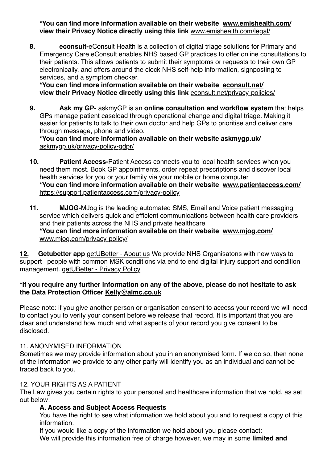**\*You can find more information available on their website [www.emishealth.com/](https://www.emishealth.com/) view their Privacy Notice directly using this link** [www.emishealth.com/legal/](http://www.emishealth.com/legal/)

**8. econsult-**eConsult Health is a collection of digital triage solutions for Primary and Emergency Care eConsult enables NHS based GP practices to offer online consultations to their patients. This allows patients to submit their symptoms or requests to their own GP electronically, and offers around the clock NHS self-help information, signposting to services, and a symptom checker.

**\*You can find more information available on their website [econsult.net/](https://econsult.net/) view their Privacy Notice directly using this link** [econsult.net/privacy-policies/](https://econsult.net/privacy-policies/)

**9. Ask my GP-** askmyGP is an **online consultation and workflow system** that helps GPs manage patient caseload through operational change and digital triage. Making it easier for patients to talk to their own doctor and help GPs to prioritise and deliver care through message, phone and video.

#### **\*You can find more information available on their website [askmygp.uk/](https://askmygp.uk/)**  [askmygp.uk/privacy-policy-gdpr/](https://askmygp.uk/privacy-policy-gdpr/)

- **10. Patient Access-**Patient Access connects you to local health services when you need them most. Book GP appointments, order repeat prescriptions and discover local health services for you or your family via your mobile or home computer **\*You can find more information available on their website [www.patientaccess.com/](https://www.patientaccess.com/)**  <https://support.patientaccess.com/privacy-policy>
- **11. MJOG-**MJog is the leading automated SMS, Email and Voice patient messaging service which delivers quick and efficient communications between health care providers and their patients across the NHS and private healthcare **\*You can find more information available on their website [www.mjog.com/](http://www.mjog.com/)**  [www.mjog.com/privacy-policy/](http://www.mjog.com/privacy-policy/)

**12. Getubetter app** [getUBetter - About us](https://www.getubetter.com/) We provide NHS Organisatons with new ways to support people with common MSK conditions via end to end digital injury support and condition management. [getUBetter - Privacy Policy](https://www.getubetter.com/privacy-policy)

# **\*If you require any further information on any of the above, please do not hesitate to ask the Data Protection Officer [Kelly@almc.co.uk](mailto:Kelly@almc.co.uk)**

Please note: if you give another person or organisation consent to access your record we will need to contact you to verify your consent before we release that record. It is important that you are clear and understand how much and what aspects of your record you give consent to be disclosed.

# 11. ANONYMISED INFORMATION

Sometimes we may provide information about you in an anonymised form. If we do so, then none of the information we provide to any other party will identify you as an individual and cannot be traced back to you.

# 12. YOUR RIGHTS AS A PATIENT

The Law gives you certain rights to your personal and healthcare information that we hold, as set out below:

# **A. Access and Subject Access Requests**

You have the right to see what information we hold about you and to request a copy of this information.

If you would like a copy of the information we hold about you please contact: We will provide this information free of charge however, we may in some **limited and**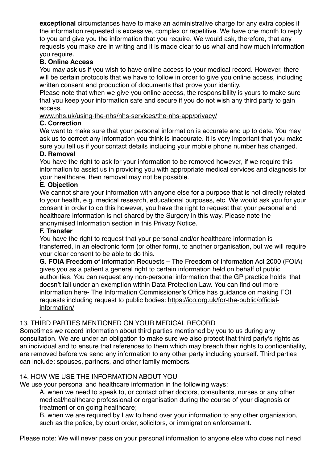**exceptional** circumstances have to make an administrative charge for any extra copies if the information requested is excessive, complex or repetitive. We have one month to reply to you and give you the information that you require. We would ask, therefore, that any requests you make are in writing and it is made clear to us what and how much information you require.

# **B. Online Access**

You may ask us if you wish to have online access to your medical record. However, there will be certain protocols that we have to follow in order to give you online access, including written consent and production of documents that prove your identity.

Please note that when we give you online access, the responsibility is yours to make sure that you keep your information safe and secure if you do not wish any third party to gain access.

[www.nhs.uk/using-the-nhs/nhs-services/the-nhs-app/privacy/](https://www.nhs.uk/using-the-nhs/nhs-services/the-nhs-app/privacy/)

#### **C. Correction**

We want to make sure that your personal information is accurate and up to date. You may ask us to correct any information you think is inaccurate. It is very important that you make sure you tell us if your contact details including your mobile phone number has changed.

# **D. Removal**

You have the right to ask for your information to be removed however, if we require this information to assist us in providing you with appropriate medical services and diagnosis for your healthcare, then removal may not be possible.

#### **E. Objection**

We cannot share your information with anyone else for a purpose that is not directly related to your health, e.g. medical research, educational purposes, etc. We would ask you for your consent in order to do this however, you have the right to request that your personal and healthcare information is not shared by the Surgery in this way. Please note the anonymised Information section in this Privacy Notice.

#### **F. Transfer**

You have the right to request that your personal and/or healthcare information is transferred, in an electronic form (or other form), to another organisation, but we will require your clear consent to be able to do this.

**G**. **FOIA F**reedom **o**f **I**nformation **R**equests – The Freedom of Information Act 2000 (FOIA) gives you as a patient a general right to certain information held on behalf of public authorities. You can request any non-personal information that the GP practice holds that doesn't fall under an exemption within Data Protection Law. You can find out more information here- The Information Commissioner's Office has guidance on making FOI requests including request to public bodies: [https://ico.org.uk/for-the-public/official](https://ico.org.uk/for-the-public/official-information/)[information/](https://ico.org.uk/for-the-public/official-information/)

#### . 13. THIRD PARTIES MENTIONED ON YOUR MEDICAL RECORD

Sometimes we record information about third parties mentioned by you to us during any consultation. We are under an obligation to make sure we also protect that third party's rights as an individual and to ensure that references to them which may breach their rights to confidentiality, are removed before we send any information to any other party including yourself. Third parties can include: spouses, partners, and other family members.

# 14. HOW WE USE THE INFORMATION ABOUT YOU

We use your personal and healthcare information in the following ways:

A. when we need to speak to, or contact other doctors, consultants, nurses or any other medical/healthcare professional or organisation during the course of your diagnosis or treatment or on going healthcare;

B. when we are required by Law to hand over your information to any other organisation, such as the police, by court order, solicitors, or immigration enforcement.

Please note: We will never pass on your personal information to anyone else who does not need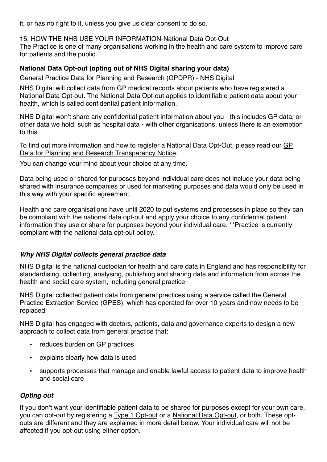it, or has no right to it, unless you give us clear consent to do so.

15. HOW THE NHS USE YOUR INFORMATION-National Data Opt-Out

The Practice is one of many organisations working in the health and care system to improve care for patients and the public.

# **National Data Opt-out (opting out of NHS Digital sharing your data)**

[General Practice Data for Planning and Research \(GPDPR\) - NHS Digital](https://digital.nhs.uk/data-and-information/data-collections-and-data-sets/data-collections/general-practice-data-for-planning-and-research)

NHS Digital will collect data from GP medical records about patients who have registered a National Data Opt-out. The National Data Opt-out applies to identifiable patient data about your health, which is called confidential patient information.

NHS Digital won't share any confidential patient information about you - this includes GP data, or other data we hold, such as hospital data - with other organisations, unless there is an exemption to this.

To find out more information and how to register a National Data Opt-Out, please read our GP [Data for Planning and Research Transparency Notice](https://digital.nhs.uk/data-and-information/data-collections-and-data-sets/data-collections/general-practice-data-for-planning-and-research/transparency-notice).

You can change your mind about your choice at any time.

Data being used or shared for purposes beyond individual care does not include your data being shared with insurance companies or used for marketing purposes and data would only be used in this way with your specific agreement.

Health and care organisations have until 2020 to put systems and processes in place so they can be compliant with the national data opt-out and apply your choice to any confidential patient information they use or share for purposes beyond your individual care. \*\*Practice is currently compliant with the national data opt-out policy.

# *Why NHS Digital collects general practice data*

NHS Digital is the national custodian for health and care data in England and has responsibility for standardising, collecting, analysing, publishing and sharing data and information from across the health and social care system, including general practice.

NHS Digital collected patient data from general practices using a service called the General Practice Extraction Service (GPES), which has operated for over 10 years and now needs to be replaced.

NHS Digital has engaged with doctors, patients, data and governance experts to design a new approach to collect data from general practice that:

- reduces burden on GP practices
- explains clearly how data is used
- supports processes that manage and enable lawful access to patient data to improve health and social care

# *Opting out*

If you don't want your identifiable patient data to be shared for purposes except for your own care, you can opt-out by registering a [Type 1 Opt-out](https://digital.nhs.uk/about-nhs-digital/our-work/keeping-patient-data-safe/how-we-look-after-your-health-and-care-information/your-information-choices/opting-out-of-sharing-your-confidential-patient-information) or a [National Data Opt-out](https://www.nhs.uk/your-nhs-data-matters/manage-your-choice/), or both. These optouts are different and they are explained in more detail below. Your individual care will not be affected if you opt-out using either option.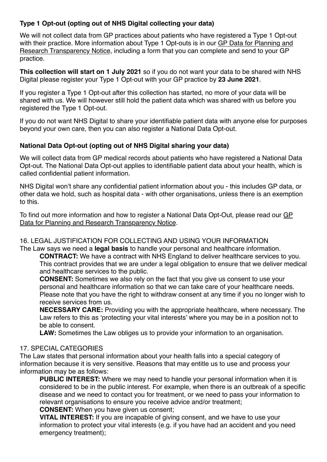# **Type 1 Opt-out (opting out of NHS Digital collecting your data)**

We will not collect data from GP practices about patients who have registered a Type 1 Opt-out with their practice. More information about Type 1 Opt-outs is in our GP Data for Planning and [Research Transparency Notice,](https://digital.nhs.uk/data-and-information/data-collections-and-data-sets/data-collections/general-practice-data-for-planning-and-research/transparency-notice) including a form that you can complete and send to your GP practice.

**This collection will start on 1 July 2021** so if you do not want your data to be shared with NHS Digital please register your Type 1 Opt-out with your GP practice by **23 June 2021**.

If you register a Type 1 Opt-out after this collection has started, no more of your data will be shared with us. We will however still hold the patient data which was shared with us before you registered the Type 1 Opt-out.

If you do not want NHS Digital to share your identifiable patient data with anyone else for purposes beyond your own care, then you can also register a National Data Opt-out.

# **National Data Opt-out (opting out of NHS Digital sharing your data)**

We will collect data from GP medical records about patients who have registered a National Data Opt-out. The National Data Opt-out applies to identifiable patient data about your health, which is called confidential patient information.

NHS Digital won't share any confidential patient information about you - this includes GP data, or other data we hold, such as hospital data - with other organisations, unless there is an exemption to this.

To find out more information and how to register a National Data Opt-Out, please read our [GP](https://digital.nhs.uk/data-and-information/data-collections-and-data-sets/data-collections/general-practice-data-for-planning-and-research/transparency-notice)  [Data for Planning and Research Transparency Notice](https://digital.nhs.uk/data-and-information/data-collections-and-data-sets/data-collections/general-practice-data-for-planning-and-research/transparency-notice).

#### 16. LEGAL JUSTIFICATION FOR COLLECTING AND USING YOUR INFORMATION The Law says we need a **legal basis** to handle your personal and healthcare information.

**CONTRACT:** We have a contract with NHS England to deliver healthcare services to you. This contract provides that we are under a legal obligation to ensure that we deliver medical and healthcare services to the public.

**CONSENT:** Sometimes we also rely on the fact that you give us consent to use your personal and healthcare information so that we can take care of your healthcare needs. Please note that you have the right to withdraw consent at any time if you no longer wish to receive services from us.

**NECESSARY CARE:** Providing you with the appropriate healthcare, where necessary. The Law refers to this as 'protecting your vital interests' where you may be in a position not to be able to consent.

**LAW:** Sometimes the Law obliges us to provide your information to an organisation.

# 17. SPECIAL CATEGORIES

The Law states that personal information about your health falls into a special category of information because it is very sensitive. Reasons that may entitle us to use and process your information may be as follows:

**PUBLIC INTEREST:** Where we may need to handle your personal information when it is considered to be in the public interest. For example, when there is an outbreak of a specific disease and we need to contact you for treatment, or we need to pass your information to relevant organisations to ensure you receive advice and/or treatment;

**CONSENT:** When you have given us consent;

**VITAL INTEREST:** If you are incapable of giving consent, and we have to use your information to protect your vital interests (e.g. if you have had an accident and you need emergency treatment);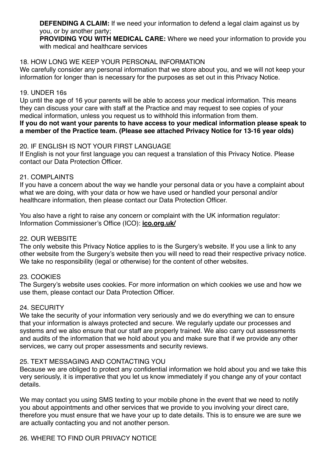**DEFENDING A CLAIM:** If we need your information to defend a legal claim against us by you, or by another party;

**PROVIDING YOU WITH MEDICAL CARE:** Where we need your information to provide you with medical and healthcare services

#### 18. HOW LONG WE KEEP YOUR PERSONAL INFORMATION

We carefully consider any personal information that we store about you, and we will not keep your information for longer than is necessary for the purposes as set out in this Privacy Notice.

#### 19. UNDER 16s

Up until the age of 16 your parents will be able to access your medical information. This means they can discuss your care with staff at the Practice and may request to see copies of your medical information, unless you request us to withhold this information from them.

**If you do not want your parents to have access to your medical information please speak to a member of the Practice team. (Please see attached Privacy Notice for 13-16 year olds)**

#### 20. IF ENGLISH IS NOT YOUR FIRST LANGUAGE

If English is not your first language you can request a translation of this Privacy Notice. Please contact our Data Protection Officer.

#### 21. COMPLAINTS

If you have a concern about the way we handle your personal data or you have a complaint about what we are doing, with your data or how we have used or handled your personal and/or healthcare information, then please contact our Data Protection Officer.

You also have a right to raise any concern or complaint with the UK information regulator: Information Commissioner's Office (ICO): **[ico.org.uk/](https://ico.org.uk/)**

#### 22. OUR WEBSITE

The only website this Privacy Notice applies to is the Surgery's website. If you use a link to any other website from the Surgery's website then you will need to read their respective privacy notice. We take no responsibility (legal or otherwise) for the content of other websites.

# 23. COOKIES

The Surgery's website uses cookies. For more information on which cookies we use and how we use them, please contact our Data Protection Officer.

#### 24. SECURITY

We take the security of your information very seriously and we do everything we can to ensure that your information is always protected and secure. We regularly update our processes and systems and we also ensure that our staff are properly trained. We also carry out assessments and audits of the information that we hold about you and make sure that if we provide any other services, we carry out proper assessments and security reviews.

# 25. TEXT MESSAGING AND CONTACTING YOU

Because we are obliged to protect any confidential information we hold about you and we take this very seriously, it is imperative that you let us know immediately if you change any of your contact details.

We may contact you using SMS texting to your mobile phone in the event that we need to notify you about appointments and other services that we provide to you involving your direct care, therefore you must ensure that we have your up to date details. This is to ensure we are sure we are actually contacting you and not another person.

# 26. WHERE TO FIND OUR PRIVACY NOTICE